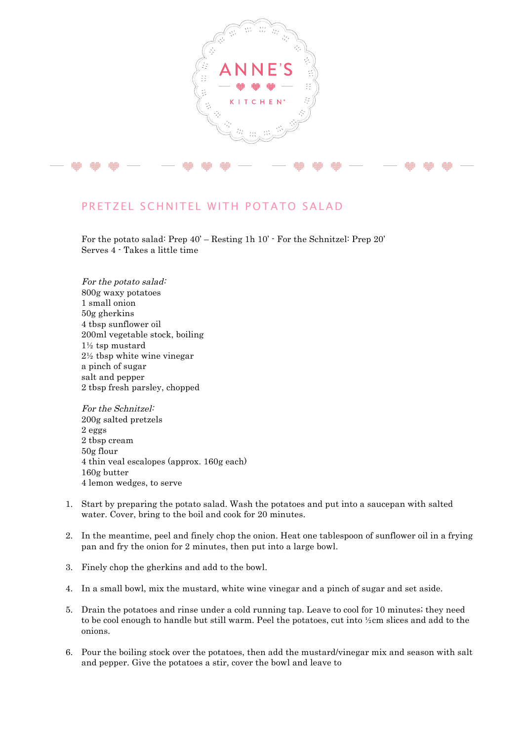

## PRETZEL SCHNITEL WITH POTATO SALAD

For the potato salad: Prep 40' – Resting 1h 10' - For the Schnitzel: Prep 20' Serves 4 - Takes a little time

For the potato salad: 800g waxy potatoes 1 small onion 50g gherkins 4 tbsp sunflower oil 200ml vegetable stock, boiling 1½ tsp mustard 2½ tbsp white wine vinegar a pinch of sugar salt and pepper 2 tbsp fresh parsley, chopped

For the Schnitzel: 200g salted pretzels 2 eggs 2 tbsp cream 50g flour 4 thin veal escalopes (approx. 160g each) 160g butter 4 lemon wedges, to serve

- 1. Start by preparing the potato salad. Wash the potatoes and put into a saucepan with salted water. Cover, bring to the boil and cook for 20 minutes.
- 2. In the meantime, peel and finely chop the onion. Heat one tablespoon of sunflower oil in a frying pan and fry the onion for 2 minutes, then put into a large bowl.
- 3. Finely chop the gherkins and add to the bowl.
- 4. In a small bowl, mix the mustard, white wine vinegar and a pinch of sugar and set aside.
- 5. Drain the potatoes and rinse under a cold running tap. Leave to cool for 10 minutes; they need to be cool enough to handle but still warm. Peel the potatoes, cut into ½cm slices and add to the onions.
- 6. Pour the boiling stock over the potatoes, then add the mustard/vinegar mix and season with salt and pepper. Give the potatoes a stir, cover the bowl and leave to